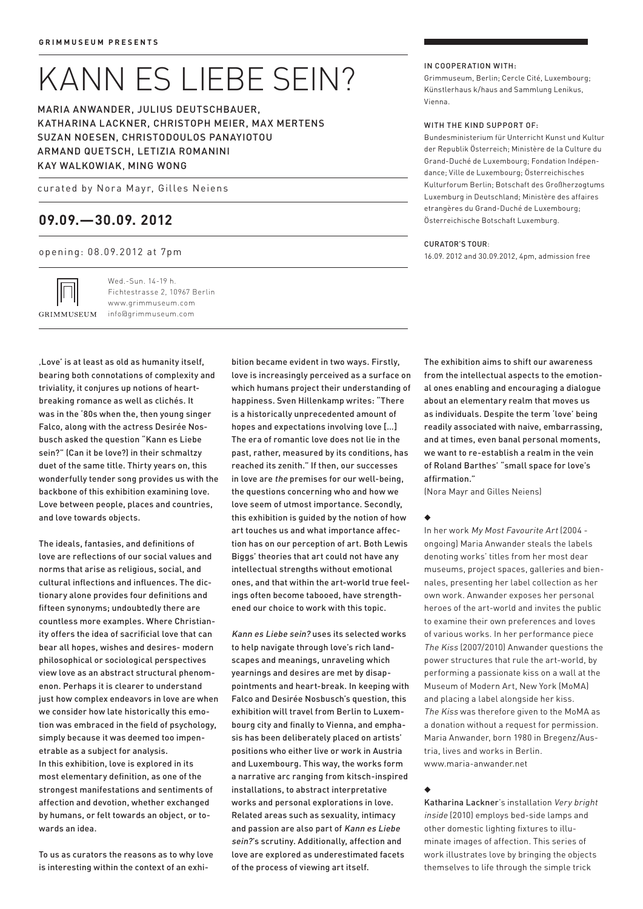# kann es liebe sein?

Maria Anwander, JULIUS DEUTSCHBAUER, Katharina Lackner, Christoph Meier, Max Mertens Suzan Noesen, Christodoulos Panayiotou Armand Quetsch, Letizia Romanini Kay Walkowiak, Ming Wong

curated by Nora Mayr, Gilles Neiens

## **09.09.—30.09. 2012**

opening: 08.09.2012 at 7pm

GRIMMUSEUM

Wed.-Sun. 14-19 h. Fichtestrasse 2, 10967 Berlin www.grimmuseum.com info@grimmuseum.com

In cooperation with:

Grimmuseum, Berlin; Cercle Cité, Luxembourg; Künstlerhaus k/haus and Sammlung Lenikus, Vienna.

#### WITH THE KIND SUPPORT OF:

Bundesministerium für Unterricht Kunst und Kultur der Republik Österreich; Ministère de la Culture du Grand-Duché de Luxembourg; Fondation Indépendance; Ville de Luxembourg; Österreichisches Kulturforum Berlin; Botschaft des Großherzogtums Luxemburg in Deutschland; Ministère des affaires etrangères du Grand-Duché de Luxembourg; Österreichische Botschaft Luxemburg.

#### Curator's tour:

16.09. 2012 and 30.09.2012, 4pm, admission free

'Love' is at least as old as humanity itself, bearing both connotations of complexity and triviality, it conjures up notions of heartbreaking romance as well as clichés. It was in the '80s when the, then young singer Falco, along with the actress Desirée Nosbusch asked the question "Kann es Liebe sein?" (Can it be love?) in their schmaltzy duet of the same title. Thirty years on, this wonderfully tender song provides us with the backbone of this exhibition examining love. Love between people, places and countries, and love towards objects.

The ideals, fantasies, and definitions of love are reflections of our social values and norms that arise as religious, social, and cultural inflections and influences. The dictionary alone provides four definitions and fifteen synonyms; undoubtedly there are countless more examples. Where Christianity offers the idea of sacrificial love that can bear all hopes, wishes and desires- modern philosophical or sociological perspectives view love as an abstract structural phenomenon. Perhaps it is clearer to understand just how complex endeavors in love are when we consider how late historically this emotion was embraced in the field of psychology, simply because it was deemed too impenetrable as a subject for analysis. In this exhibition, love is explored in its most elementary definition, as one of the strongest manifestations and sentiments of affection and devotion, whether exchanged by humans, or felt towards an object, or towards an idea.

To us as curators the reasons as to why love is interesting within the context of an exhibition became evident in two ways. Firstly, love is increasingly perceived as a surface on which humans project their understanding of happiness. Sven Hillenkamp writes: "There is a historically unprecedented amount of hopes and expectations involving love […] The era of romantic love does not lie in the past, rather, measured by its conditions, has reached its zenith." If then, our successes in love are the premises for our well-being, the questions concerning who and how we love seem of utmost importance. Secondly, this exhibition is guided by the notion of how art touches us and what importance affection has on our perception of art. Both Lewis Biggs' theories that art could not have any intellectual strengths without emotional ones, and that within the art-world true feelings often become tabooed, have strengthened our choice to work with this topic.

Kann es Liebe sein? uses its selected works to help navigate through love's rich landscapes and meanings, unraveling which yearnings and desires are met by disappointments and heart-break. In keeping with Falco and Desirée Nosbusch's question, this exhibition will travel from Berlin to Luxembourg city and finally to Vienna, and emphasis has been deliberately placed on artists' positions who either live or work in Austria and Luxembourg. This way, the works form a narrative arc ranging from kitsch-inspired installations, to abstract interpretative works and personal explorations in love. Related areas such as sexuality, intimacy and passion are also part of Kann es Liebe sein?'s scrutiny. Additionally, affection and love are explored as underestimated facets of the process of viewing art itself.

The exhibition aims to shift our awareness from the intellectual aspects to the emotional ones enabling and encouraging a dialogue about an elementary realm that moves us as individuals. Despite the term 'love' being readily associated with naive, embarrassing, and at times, even banal personal moments, we want to re-establish a realm in the vein of Roland Barthes' "small space for love's affirmation."

(Nora Mayr and Gilles Neiens)

◆

In her work My Most Favourite Art (2004 ongoing) Maria Anwander steals the labels denoting works' titles from her most dear museums, project spaces, galleries and biennales, presenting her label collection as her own work. Anwander exposes her personal heroes of the art-world and invites the public to examine their own preferences and loves of various works. In her performance piece The Kiss (2007/2010) Anwander questions the power structures that rule the art-world, by performing a passionate kiss on a wall at the Museum of Modern Art, New York (MoMA) and placing a label alongside her kiss. The Kiss was therefore given to the MoMA as a donation without a request for permission. Maria Anwander, born 1980 in Bregenz/Austria, lives and works in Berlin. www.maria-anwander.net

#### ◆

Katharina Lackner's installation Very bright inside (2010) employs bed-side lamps and other domestic lighting fixtures to illuminate images of affection. This series of work illustrates love by bringing the objects themselves to life through the simple trick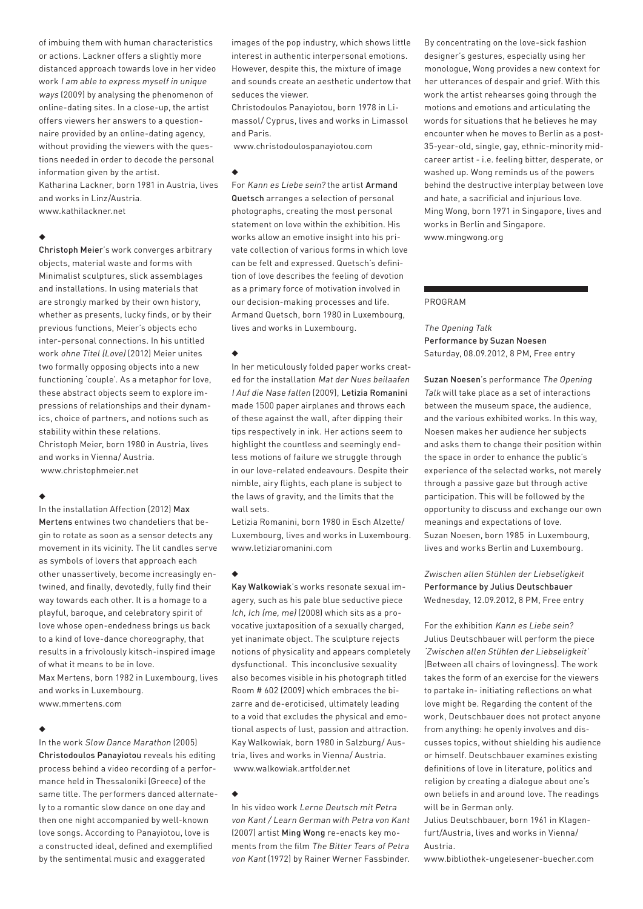of imbuing them with human characteristics or actions. Lackner offers a slightly more distanced approach towards love in her video work I am able to express myself in unique ways (2009) by analysing the phenomenon of online-dating sites. In a close-up, the artist offers viewers her answers to a questionnaire provided by an online-dating agency, without providing the viewers with the questions needed in order to decode the personal information given by the artist. Katharina Lackner, born 1981 in Austria, lives and works in Linz/Austria.

www.kathilackner.net

#### ◆

Christoph Meier's work converges arbitrary objects, material waste and forms with Minimalist sculptures, slick assemblages and installations. In using materials that are strongly marked by their own history, whether as presents, lucky finds, or by their previous functions, Meier's objects echo inter-personal connections. In his untitled work ohne Titel (Love) (2012) Meier unites two formally opposing objects into a new functioning 'couple'. As a metaphor for love, these abstract objects seem to explore impressions of relationships and their dynamics, choice of partners, and notions such as stability within these relations. Christoph Meier, born 1980 in Austria, lives and works in Vienna/ Austria. www.christophmeier.net

#### ◆

In the installation Affection (2012) Max Mertens entwines two chandeliers that begin to rotate as soon as a sensor detects any movement in its vicinity. The lit candles serve as symbols of lovers that approach each other unassertively, become increasingly entwined, and finally, devotedly, fully find their way towards each other. It is a homage to a playful, baroque, and celebratory spirit of love whose open-endedness brings us back to a kind of love-dance choreography, that results in a frivolously kitsch-inspired image of what it means to be in love.

Max Mertens, born 1982 in Luxembourg, lives and works in Luxembourg. www.mmertens.com

#### ◆

In the work Slow Dance Marathon (2005) Christodoulos Panayiotou reveals his editing process behind a video recording of a performance held in Thessaloniki (Greece) of the same title. The performers danced alternately to a romantic slow dance on one day and then one night accompanied by well-known love songs. According to Panayiotou, love is a constructed ideal, defined and exemplified by the sentimental music and exaggerated

images of the pop industry, which shows little interest in authentic interpersonal emotions. However, despite this, the mixture of image and sounds create an aesthetic undertow that seduces the viewer.

Christodoulos Panayiotou, born 1978 in Limassol/ Cyprus, lives and works in Limassol and Paris.

www.christodoulospanayiotou.com

#### ◆

For Kann es Liebe sein? the artist Armand Quetsch arranges a selection of personal photographs, creating the most personal statement on love within the exhibition. His works allow an emotive insight into his private collection of various forms in which love can be felt and expressed. Quetsch's definition of love describes the feeling of devotion as a primary force of motivation involved in our decision-making processes and life. Armand Quetsch, born 1980 in Luxembourg, lives and works in Luxembourg.

#### ◆

In her meticulously folded paper works created for the installation Mat der Nues beilaafen I Auf die Nase fallen (2009), Letizia Romanini made 1500 paper airplanes and throws each of these against the wall, after dipping their tips respectively in ink. Her actions seem to highlight the countless and seemingly endless motions of failure we struggle through in our love-related endeavours. Despite their nimble, airy flights, each plane is subject to the laws of gravity, and the limits that the wall sets.

Letizia Romanini, born 1980 in Esch Alzette/ Luxembourg, lives and works in Luxembourg. www.letiziaromanini.com

#### ◆

Kay Walkowiak's works resonate sexual imagery, such as his pale blue seductive piece Ich, Ich (me, me) (2008) which sits as a provocative juxtaposition of a sexually charged, yet inanimate object. The sculpture rejects notions of physicality and appears completely dysfunctional. This inconclusive sexuality also becomes visible in his photograph titled Room # 602 (2009) which embraces the bizarre and de-eroticised, ultimately leading to a void that excludes the physical and emotional aspects of lust, passion and attraction. Kay Walkowiak, born 1980 in Salzburg/ Austria, lives and works in Vienna/ Austria. www.walkowiak.artfolder.net

#### ◆

In his video work Lerne Deutsch mit Petra von Kant / Learn German with Petra von Kant (2007) artist Ming Wong re-enacts key moments from the film The Bitter Tears of Petra von Kant (1972) by Rainer Werner Fassbinder.

By concentrating on the love-sick fashion designer's gestures, especially using her monologue, Wong provides a new context for her utterances of despair and grief. With this work the artist rehearses going through the motions and emotions and articulating the words for situations that he believes he may encounter when he moves to Berlin as a post-35-year-old, single, gay, ethnic-minority midcareer artist - i.e. feeling bitter, desperate, or washed up. Wong reminds us of the powers behind the destructive interplay between love and hate, a sacrificial and injurious love. Ming Wong, born 1971 in Singapore, lives and works in Berlin and Singapore. www.mingwong.org

#### PROGRAM

The Opening Talk Performance by Suzan Noesen Saturday, 08.09.2012, 8 PM, Free entry

Suzan Noesen's performance The Opening Talk will take place as a set of interactions between the museum space, the audience, and the various exhibited works. In this way, Noesen makes her audience her subjects and asks them to change their position within the space in order to enhance the public's experience of the selected works, not merely through a passive gaze but through active participation. This will be followed by the opportunity to discuss and exchange our own meanings and expectations of love. Suzan Noesen, born 1985 in Luxembourg, lives and works Berlin and Luxembourg.

#### Zwischen allen Stühlen der Liebseligkeit Performance by Julius Deutschbauer Wednesday, 12.09.2012, 8 PM, Free entry

For the exhibition Kann es Liebe sein? Julius Deutschbauer will perform the piece 'Zwischen allen Stühlen der Liebseligkeit' (Between all chairs of lovingness). The work takes the form of an exercise for the viewers to partake in- initiating reflections on what love might be. Regarding the content of the work, Deutschbauer does not protect anyone from anything: he openly involves and discusses topics, without shielding his audience or himself. Deutschbauer examines existing definitions of love in literature, politics and religion by creating a dialogue about one's own beliefs in and around love. The readings will be in German only.

Julius Deutschbauer, born 1961 in Klagenfurt/Austria, lives and works in Vienna/ Austria.

www.bibliothek-ungelesener-buecher.com